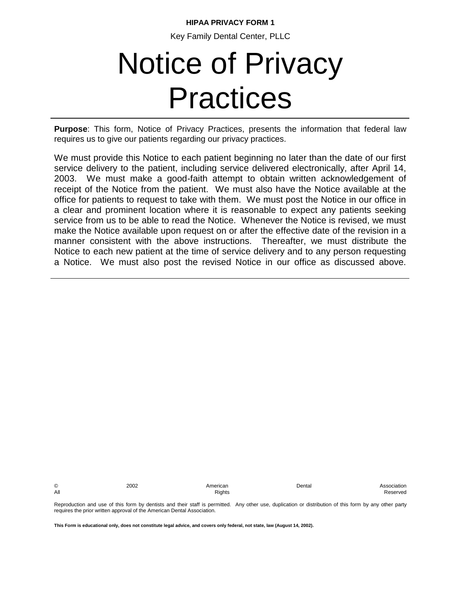# **HIPAA PRIVACY FORM 1**

Key Family Dental Center, PLLC

# Notice of Privacy Practices

**Purpose**: This form, Notice of Privacy Practices, presents the information that federal law requires us to give our patients regarding our privacy practices.

We must provide this Notice to each patient beginning no later than the date of our first service delivery to the patient, including service delivered electronically, after April 14, 2003. We must make a good-faith attempt to obtain written acknowledgement of receipt of the Notice from the patient. We must also have the Notice available at the office for patients to request to take with them. We must post the Notice in our office in a clear and prominent location where it is reasonable to expect any patients seeking service from us to be able to read the Notice. Whenever the Notice is revised, we must make the Notice available upon request on or after the effective date of the revision in a manner consistent with the above instructions. Thereafter, we must distribute the Notice to each new patient at the time of service delivery and to any person requesting a Notice. We must also post the revised Notice in our office as discussed above.

© 2002 American Dental Association

All and the control of the control of the Reserved Rights and Reserved and Reserved Second Reserved

Reproduction and use of this form by dentists and their staff is permitted. Any other use, duplication or distribution of this form by any other party requires the prior written approval of the American Dental Association.

**This Form is educational only, does not constitute legal advice, and covers only federal, not state, law (August 14, 2002).**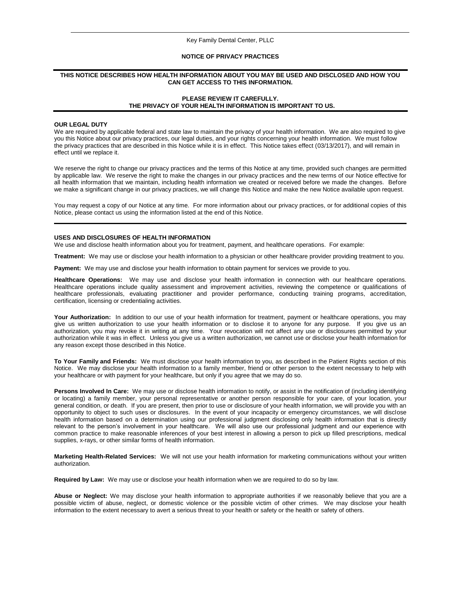#### Key Family Dental Center, PLLC

# **NOTICE OF PRIVACY PRACTICES**

## **THIS NOTICE DESCRIBES HOW HEALTH INFORMATION ABOUT YOU MAY BE USED AND DISCLOSED AND HOW YOU CAN GET ACCESS TO THIS INFORMATION.**

# **PLEASE REVIEW IT CAREFULLY. THE PRIVACY OF YOUR HEALTH INFORMATION IS IMPORTANT TO US.**

#### **OUR LEGAL DUTY**

We are required by applicable federal and state law to maintain the privacy of your health information. We are also required to give you this Notice about our privacy practices, our legal duties, and your rights concerning your health information. We must follow the privacy practices that are described in this Notice while it is in effect. This Notice takes effect (03/13/2017), and will remain in effect until we replace it.

We reserve the right to change our privacy practices and the terms of this Notice at any time, provided such changes are permitted by applicable law. We reserve the right to make the changes in our privacy practices and the new terms of our Notice effective for all health information that we maintain, including health information we created or received before we made the changes. Before we make a significant change in our privacy practices, we will change this Notice and make the new Notice available upon request.

You may request a copy of our Notice at any time. For more information about our privacy practices, or for additional copies of this Notice, please contact us using the information listed at the end of this Notice.

## **USES AND DISCLOSURES OF HEALTH INFORMATION**

We use and disclose health information about you for treatment, payment, and healthcare operations. For example:

**Treatment:** We may use or disclose your health information to a physician or other healthcare provider providing treatment to you.

**Payment:** We may use and disclose your health information to obtain payment for services we provide to you.

**Healthcare Operations:** We may use and disclose your health information in connection with our healthcare operations. Healthcare operations include quality assessment and improvement activities, reviewing the competence or qualifications of healthcare professionals, evaluating practitioner and provider performance, conducting training programs, accreditation, certification, licensing or credentialing activities.

Your Authorization: In addition to our use of your health information for treatment, payment or healthcare operations, you may give us written authorization to use your health information or to disclose it to anyone for any purpose. If you give us an authorization, you may revoke it in writing at any time. Your revocation will not affect any use or disclosures permitted by your authorization while it was in effect. Unless you give us a written authorization, we cannot use or disclose your health information for any reason except those described in this Notice.

**To Your Family and Friends:** We must disclose your health information to you, as described in the Patient Rights section of this Notice. We may disclose your health information to a family member, friend or other person to the extent necessary to help with your healthcare or with payment for your healthcare, but only if you agree that we may do so.

**Persons Involved In Care:** We may use or disclose health information to notify, or assist in the notification of (including identifying or locating) a family member, your personal representative or another person responsible for your care, of your location, your general condition, or death. If you are present, then prior to use or disclosure of your health information, we will provide you with an opportunity to object to such uses or disclosures. In the event of your incapacity or emergency circumstances, we will disclose health information based on a determination using our professional judgment disclosing only health information that is directly relevant to the person's involvement in your healthcare. We will also use our professional judgment and our experience with common practice to make reasonable inferences of your best interest in allowing a person to pick up filled prescriptions, medical supplies, x-rays, or other similar forms of health information.

**Marketing Health-Related Services:** We will not use your health information for marketing communications without your written authorization.

**Required by Law:** We may use or disclose your health information when we are required to do so by law.

**Abuse or Neglect:** We may disclose your health information to appropriate authorities if we reasonably believe that you are a possible victim of abuse, neglect, or domestic violence or the possible victim of other crimes. We may disclose your health information to the extent necessary to avert a serious threat to your health or safety or the health or safety of others.